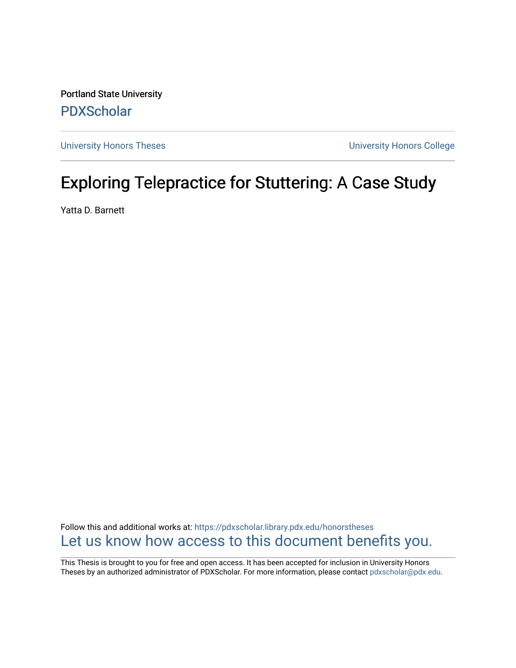Portland State University [PDXScholar](https://pdxscholar.library.pdx.edu/)

[University Honors Theses](https://pdxscholar.library.pdx.edu/honorstheses) [University Honors College](https://pdxscholar.library.pdx.edu/honors) 

# Exploring Telepractice for Stuttering: A Case Study

Yatta D. Barnett

Follow this and additional works at: [https://pdxscholar.library.pdx.edu/honorstheses](https://pdxscholar.library.pdx.edu/honorstheses?utm_source=pdxscholar.library.pdx.edu%2Fhonorstheses%2F1&utm_medium=PDF&utm_campaign=PDFCoverPages)  [Let us know how access to this document benefits you.](http://library.pdx.edu/services/pdxscholar-services/pdxscholar-feedback/) 

This Thesis is brought to you for free and open access. It has been accepted for inclusion in University Honors Theses by an authorized administrator of PDXScholar. For more information, please contact [pdxscholar@pdx.edu](mailto:pdxscholar@pdx.edu).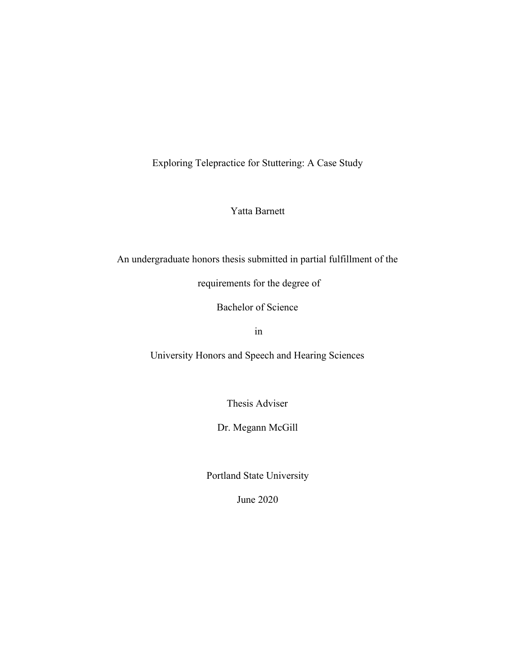Exploring Telepractice for Stuttering: A Case Study

Yatta Barnett

An undergraduate honors thesis submitted in partial fulfillment of the

requirements for the degree of

Bachelor of Science

in

University Honors and Speech and Hearing Sciences

Thesis Adviser

Dr. Megann McGill

Portland State University

June 2020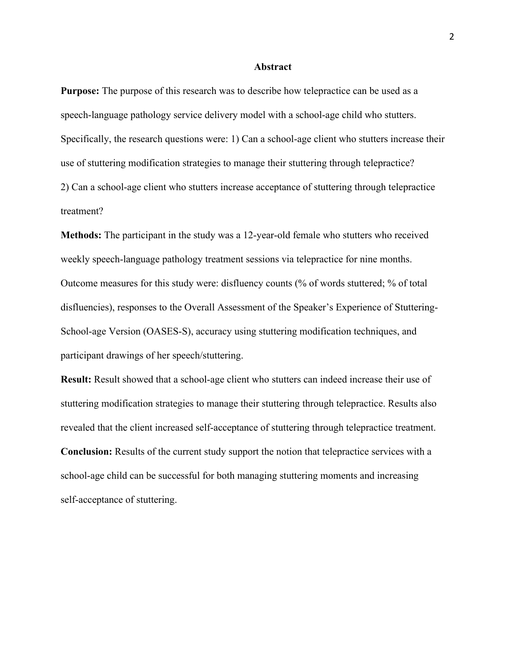#### **Abstract**

**Purpose:** The purpose of this research was to describe how telepractice can be used as a speech-language pathology service delivery model with a school-age child who stutters. Specifically, the research questions were: 1) Can a school-age client who stutters increase their use of stuttering modification strategies to manage their stuttering through telepractice? 2) Can a school-age client who stutters increase acceptance of stuttering through telepractice treatment?

**Methods:** The participant in the study was a 12-year-old female who stutters who received weekly speech-language pathology treatment sessions via telepractice for nine months. Outcome measures for this study were: disfluency counts (% of words stuttered; % of total disfluencies), responses to the Overall Assessment of the Speaker's Experience of Stuttering-School-age Version (OASES-S), accuracy using stuttering modification techniques, and participant drawings of her speech/stuttering.

**Result:** Result showed that a school-age client who stutters can indeed increase their use of stuttering modification strategies to manage their stuttering through telepractice. Results also revealed that the client increased self-acceptance of stuttering through telepractice treatment. **Conclusion:** Results of the current study support the notion that telepractice services with a school-age child can be successful for both managing stuttering moments and increasing self-acceptance of stuttering.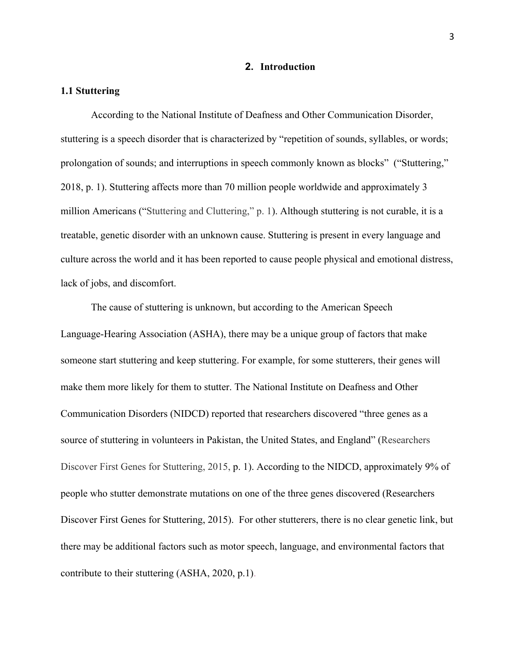## **2. Introduction**

#### **1.1 Stuttering**

According to the National Institute of Deafness and Other Communication Disorder, stuttering is a speech disorder that is characterized by "repetition of sounds, syllables, or words; prolongation of sounds; and interruptions in speech commonly known as blocks" ("Stuttering," 2018, p. 1). Stuttering affects more than 70 million people worldwide and approximately 3 million Americans ("Stuttering and Cluttering," p. 1). Although stuttering is not curable, it is a treatable, genetic disorder with an unknown cause. Stuttering is present in every language and culture across the world and it has been reported to cause people physical and emotional distress, lack of jobs, and discomfort.

The cause of stuttering is unknown, but according to the American Speech Language-Hearing Association (ASHA), there may be a unique group of factors that make someone start stuttering and keep stuttering. For example, for some stutterers, their genes will make them more likely for them to stutter. The National Institute on Deafness and Other Communication Disorders (NIDCD) reported that researchers discovered "three genes as a source of stuttering in volunteers in Pakistan, the United States, and England" (Researchers Discover First Genes for Stuttering, 2015, p. 1). According to the NIDCD, approximately 9% of people who stutter demonstrate mutations on one of the three genes discovered (Researchers Discover First Genes for Stuttering, 2015). For other stutterers, there is no clear genetic link, but there may be additional factors such as motor speech, language, and environmental factors that contribute to their stuttering (ASHA, 2020, p.1).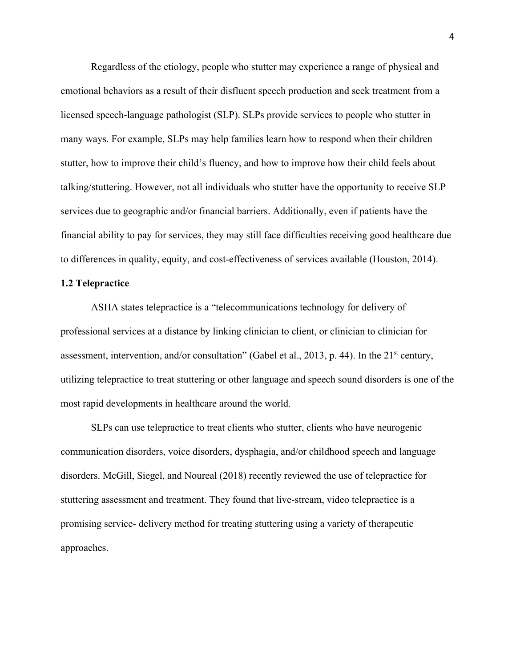Regardless of the etiology, people who stutter may experience a range of physical and emotional behaviors as a result of their disfluent speech production and seek treatment from a licensed speech-language pathologist (SLP). SLPs provide services to people who stutter in many ways. For example, SLPs may help families learn how to respond when their children stutter, how to improve their child's fluency, and how to improve how their child feels about talking/stuttering. However, not all individuals who stutter have the opportunity to receive SLP services due to geographic and/or financial barriers. Additionally, even if patients have the financial ability to pay for services, they may still face difficulties receiving good healthcare due to differences in quality, equity, and cost-effectiveness of services available (Houston, 2014).

### **1.2 Telepractice**

ASHA states telepractice is a "telecommunications technology for delivery of professional services at a distance by linking clinician to client, or clinician to clinician for assessment, intervention, and/or consultation" (Gabel et al., 2013, p. 44). In the 21<sup>st</sup> century, utilizing telepractice to treat stuttering or other language and speech sound disorders is one of the most rapid developments in healthcare around the world.

SLPs can use telepractice to treat clients who stutter, clients who have neurogenic communication disorders, voice disorders, dysphagia, and/or childhood speech and language disorders. McGill, Siegel, and Noureal (2018) recently reviewed the use of telepractice for stuttering assessment and treatment. They found that live-stream, video telepractice is a promising service- delivery method for treating stuttering using a variety of therapeutic approaches.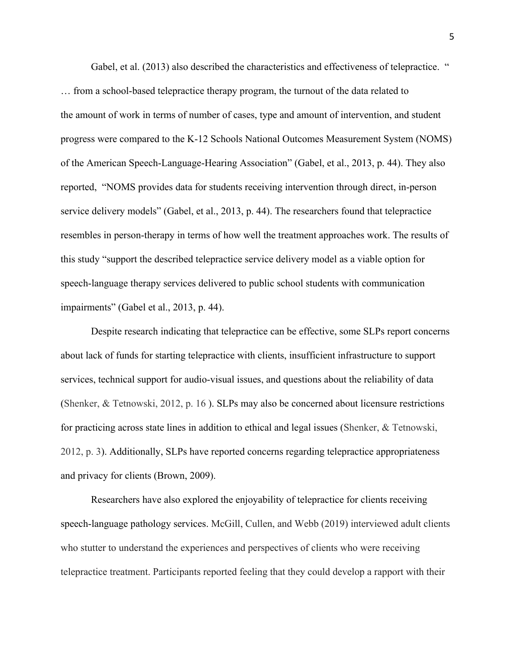Gabel, et al. (2013) also described the characteristics and effectiveness of telepractice. " … from a school-based telepractice therapy program, the turnout of the data related to the amount of work in terms of number of cases, type and amount of intervention, and student progress were compared to the K-12 Schools National Outcomes Measurement System (NOMS) of the American Speech-Language-Hearing Association" (Gabel, et al., 2013, p. 44). They also reported, "NOMS provides data for students receiving intervention through direct, in-person service delivery models" (Gabel, et al., 2013, p. 44). The researchers found that telepractice resembles in person-therapy in terms of how well the treatment approaches work. The results of this study "support the described telepractice service delivery model as a viable option for speech-language therapy services delivered to public school students with communication impairments" (Gabel et al., 2013, p. 44).

Despite research indicating that telepractice can be effective, some SLPs report concerns about lack of funds for starting telepractice with clients, insufficient infrastructure to support services, technical support for audio-visual issues, and questions about the reliability of data (Shenker, & Tetnowski, 2012, p. 16 ). SLPs may also be concerned about licensure restrictions for practicing across state lines in addition to ethical and legal issues (Shenker, & Tetnowski, 2012, p. 3). Additionally, SLPs have reported concerns regarding telepractice appropriateness and privacy for clients (Brown, 2009).

Researchers have also explored the enjoyability of telepractice for clients receiving speech-language pathology services. McGill, Cullen, and Webb (2019) interviewed adult clients who stutter to understand the experiences and perspectives of clients who were receiving telepractice treatment. Participants reported feeling that they could develop a rapport with their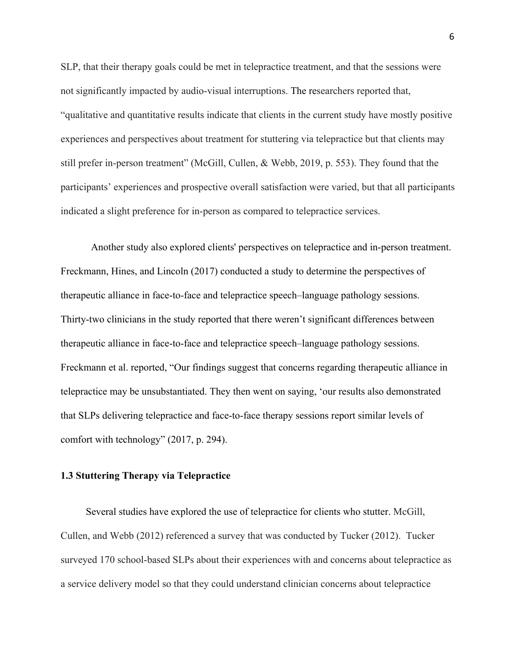SLP, that their therapy goals could be met in telepractice treatment, and that the sessions were not significantly impacted by audio-visual interruptions. The researchers reported that, "qualitative and quantitative results indicate that clients in the current study have mostly positive experiences and perspectives about treatment for stuttering via telepractice but that clients may still prefer in-person treatment" (McGill, Cullen, & Webb, 2019, p. 553). They found that the participants' experiences and prospective overall satisfaction were varied, but that all participants indicated a slight preference for in-person as compared to telepractice services.

Another study also explored clients' perspectives on telepractice and in-person treatment. Freckmann, Hines, and Lincoln (2017) conducted a study to determine the perspectives of therapeutic alliance in face-to-face and telepractice speech–language pathology sessions. Thirty-two clinicians in the study reported that there weren't significant differences between therapeutic alliance in face-to-face and telepractice speech–language pathology sessions. Freckmann et al. reported, "Our findings suggest that concerns regarding therapeutic alliance in telepractice may be unsubstantiated. They then went on saying, 'our results also demonstrated that SLPs delivering telepractice and face-to-face therapy sessions report similar levels of comfort with technology" (2017, p. 294).

#### **1.3 Stuttering Therapy via Telepractice**

 Several studies have explored the use of telepractice for clients who stutter. McGill, Cullen, and Webb (2012) referenced a survey that was conducted by Tucker (2012). Tucker surveyed 170 school-based SLPs about their experiences with and concerns about telepractice as a service delivery model so that they could understand clinician concerns about telepractice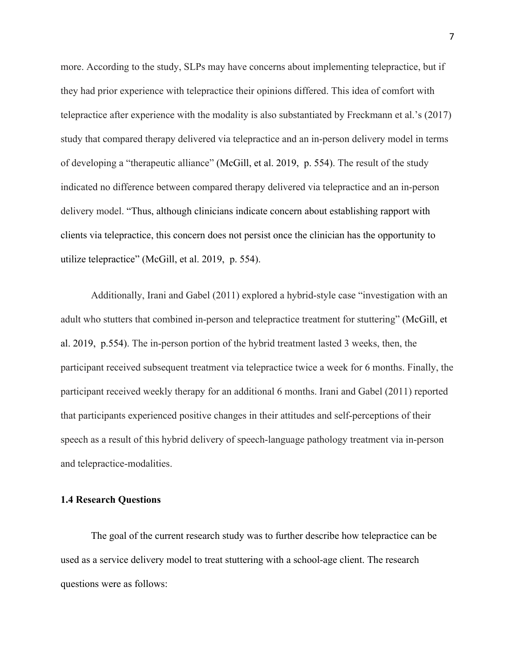more. According to the study, SLPs may have concerns about implementing telepractice, but if they had prior experience with telepractice their opinions differed. This idea of comfort with telepractice after experience with the modality is also substantiated by Freckmann et al.'s (2017) study that compared therapy delivered via telepractice and an in-person delivery model in terms of developing a "therapeutic alliance" (McGill, et al. 2019, p. 554). The result of the study indicated no difference between compared therapy delivered via telepractice and an in-person delivery model. "Thus, although clinicians indicate concern about establishing rapport with clients via telepractice, this concern does not persist once the clinician has the opportunity to utilize telepractice" (McGill, et al. 2019, p. 554).

Additionally, Irani and Gabel (2011) explored a hybrid-style case "investigation with an adult who stutters that combined in-person and telepractice treatment for stuttering" (McGill, et al. 2019, p.554). The in-person portion of the hybrid treatment lasted 3 weeks, then, the participant received subsequent treatment via telepractice twice a week for 6 months. Finally, the participant received weekly therapy for an additional 6 months. Irani and Gabel (2011) reported that participants experienced positive changes in their attitudes and self-perceptions of their speech as a result of this hybrid delivery of speech-language pathology treatment via in-person and telepractice-modalities.

## **1.4 Research Questions**

The goal of the current research study was to further describe how telepractice can be used as a service delivery model to treat stuttering with a school-age client. The research questions were as follows: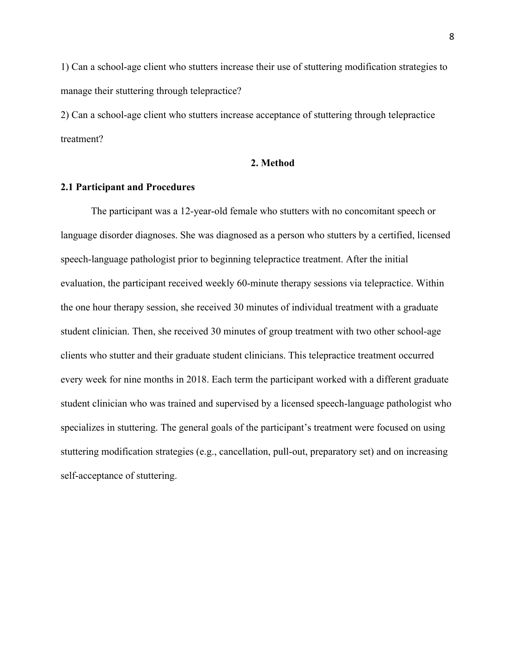1) Can a school-age client who stutters increase their use of stuttering modification strategies to manage their stuttering through telepractice?

2) Can a school-age client who stutters increase acceptance of stuttering through telepractice treatment?

## **2. Method**

#### **2.1 Participant and Procedures**

The participant was a 12-year-old female who stutters with no concomitant speech or language disorder diagnoses. She was diagnosed as a person who stutters by a certified, licensed speech-language pathologist prior to beginning telepractice treatment. After the initial evaluation, the participant received weekly 60-minute therapy sessions via telepractice. Within the one hour therapy session, she received 30 minutes of individual treatment with a graduate student clinician. Then, she received 30 minutes of group treatment with two other school-age clients who stutter and their graduate student clinicians. This telepractice treatment occurred every week for nine months in 2018. Each term the participant worked with a different graduate student clinician who was trained and supervised by a licensed speech-language pathologist who specializes in stuttering. The general goals of the participant's treatment were focused on using stuttering modification strategies (e.g., cancellation, pull-out, preparatory set) and on increasing self-acceptance of stuttering.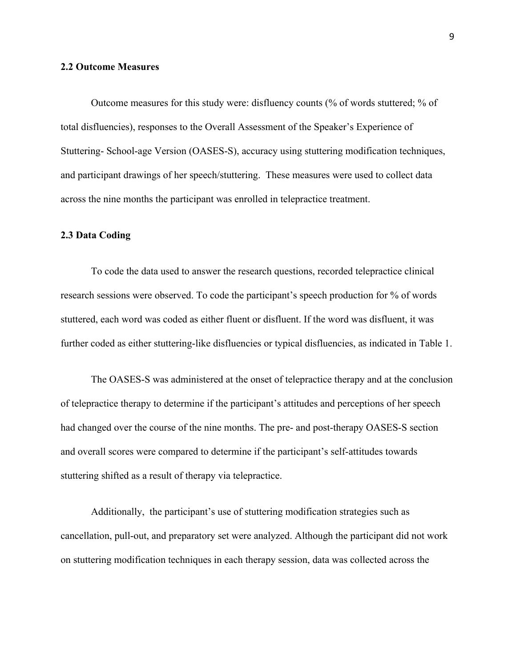#### **2.2 Outcome Measures**

Outcome measures for this study were: disfluency counts (% of words stuttered; % of total disfluencies), responses to the Overall Assessment of the Speaker's Experience of Stuttering- School-age Version (OASES-S), accuracy using stuttering modification techniques, and participant drawings of her speech/stuttering. These measures were used to collect data across the nine months the participant was enrolled in telepractice treatment.

#### **2.3 Data Coding**

To code the data used to answer the research questions, recorded telepractice clinical research sessions were observed. To code the participant's speech production for % of words stuttered, each word was coded as either fluent or disfluent. If the word was disfluent, it was further coded as either stuttering-like disfluencies or typical disfluencies, as indicated in Table 1.

The OASES-S was administered at the onset of telepractice therapy and at the conclusion of telepractice therapy to determine if the participant's attitudes and perceptions of her speech had changed over the course of the nine months. The pre- and post-therapy OASES-S section and overall scores were compared to determine if the participant's self-attitudes towards stuttering shifted as a result of therapy via telepractice.

Additionally, the participant's use of stuttering modification strategies such as cancellation, pull-out, and preparatory set were analyzed. Although the participant did not work on stuttering modification techniques in each therapy session, data was collected across the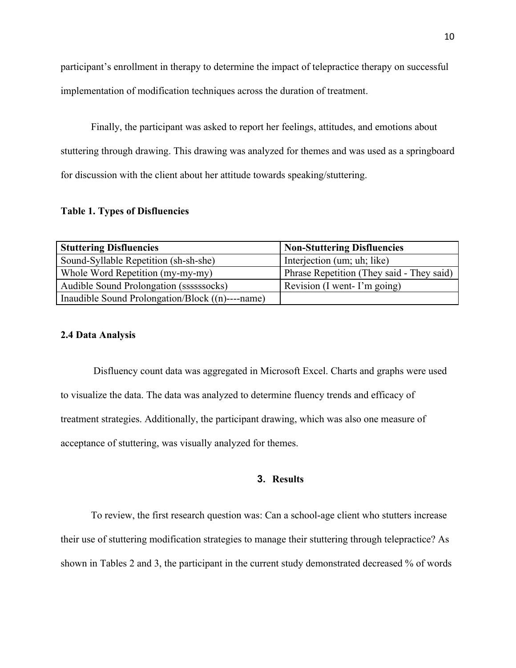participant's enrollment in therapy to determine the impact of telepractice therapy on successful implementation of modification techniques across the duration of treatment.

Finally, the participant was asked to report her feelings, attitudes, and emotions about stuttering through drawing. This drawing was analyzed for themes and was used as a springboard for discussion with the client about her attitude towards speaking/stuttering.

## **Table 1. Types of Disfluencies**

| <b>Stuttering Disfluencies</b>                   | <b>Non-Stuttering Disfluencies</b>        |
|--------------------------------------------------|-------------------------------------------|
| Sound-Syllable Repetition (sh-sh-she)            | Interjection (um; uh; like)               |
| Whole Word Repetition (my-my-my)                 | Phrase Repetition (They said - They said) |
| Audible Sound Prolongation (ssssssocks)          | Revision (I went- I'm going)              |
| Inaudible Sound Prolongation/Block ((n)----name) |                                           |

## **2.4 Data Analysis**

 Disfluency count data was aggregated in Microsoft Excel. Charts and graphs were used to visualize the data. The data was analyzed to determine fluency trends and efficacy of treatment strategies. Additionally, the participant drawing, which was also one measure of acceptance of stuttering, was visually analyzed for themes.

## **3. Results**

To review, the first research question was: Can a school-age client who stutters increase their use of stuttering modification strategies to manage their stuttering through telepractice? As shown in Tables 2 and 3, the participant in the current study demonstrated decreased % of words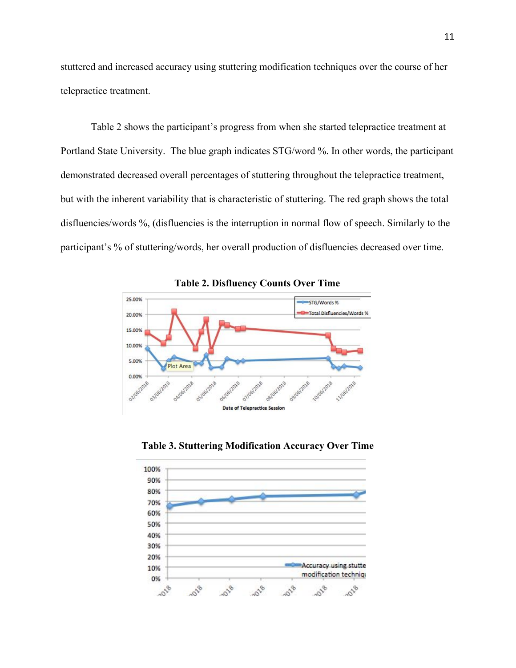stuttered and increased accuracy using stuttering modification techniques over the course of her telepractice treatment.

Table 2 shows the participant's progress from when she started telepractice treatment at Portland State University. The blue graph indicates STG/word %. In other words, the participant demonstrated decreased overall percentages of stuttering throughout the telepractice treatment, but with the inherent variability that is characteristic of stuttering. The red graph shows the total disfluencies/words %, (disfluencies is the interruption in normal flow of speech. Similarly to the participant's % of stuttering/words, her overall production of disfluencies decreased over time.



**Table 2. Disfluency Counts Over Time**

**Table 3. Stuttering Modification Accuracy Over Time**

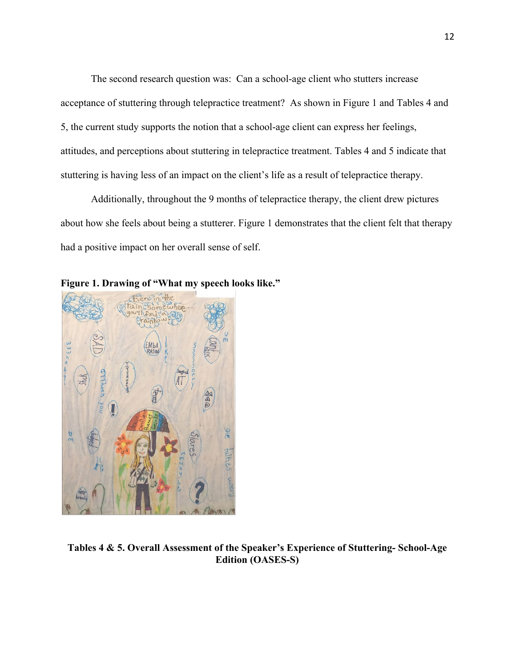The second research question was: Can a school-age client who stutters increase acceptance of stuttering through telepractice treatment? As shown in Figure 1 and Tables 4 and 5, the current study supports the notion that a school-age client can express her feelings, attitudes, and perceptions about stuttering in telepractice treatment. Tables 4 and 5 indicate that stuttering is having less of an impact on the client's life as a result of telepractice therapy.

Additionally, throughout the 9 months of telepractice therapy, the client drew pictures about how she feels about being a stutterer. Figure 1 demonstrates that the client felt that therapy had a positive impact on her overall sense of self.

**Figure 1. Drawing of "What my speech looks like."**



**Tables 4 & 5. Overall Assessment of the Speaker's Experience of Stuttering- School-Age Edition (OASES-S)**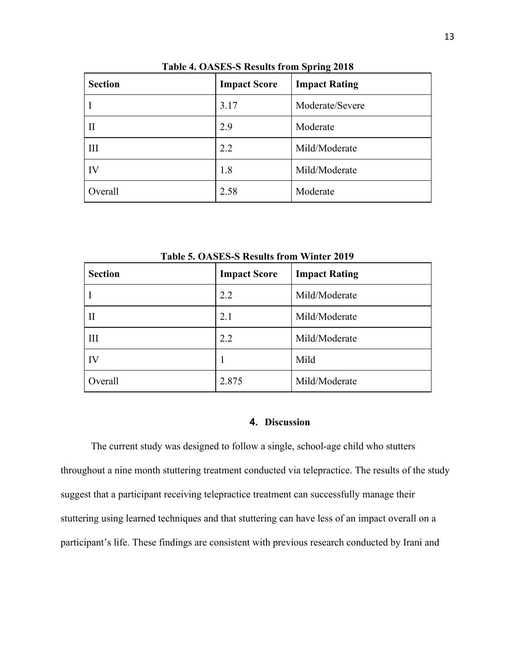| <b>Section</b> | <b>Impact Score</b> | <b>Impact Rating</b> |
|----------------|---------------------|----------------------|
|                | 3.17                | Moderate/Severe      |
| П              | 2.9                 | Moderate             |
| Ш              | 2.2                 | Mild/Moderate        |
| IV             | 1.8                 | Mild/Moderate        |
| Overall        | 2.58                | Moderate             |

**Table 4. OASES-S Results from Spring 2018**

| <b>Section</b> | <b>Impact Score</b> | <b>Impact Rating</b> |
|----------------|---------------------|----------------------|
|                | 2.2                 | Mild/Moderate        |
| $\mathbf{H}$   | 2.1                 | Mild/Moderate        |
| III            | 2.2                 | Mild/Moderate        |
| IV             | 1                   | Mild                 |
| Overall        | 2.875               | Mild/Moderate        |

**Table 5. OASES-S Results from Winter 2019**

## **4. Discussion**

The current study was designed to follow a single, school-age child who stutters throughout a nine month stuttering treatment conducted via telepractice. The results of the study suggest that a participant receiving telepractice treatment can successfully manage their stuttering using learned techniques and that stuttering can have less of an impact overall on a participant's life. These findings are consistent with previous research conducted by Irani and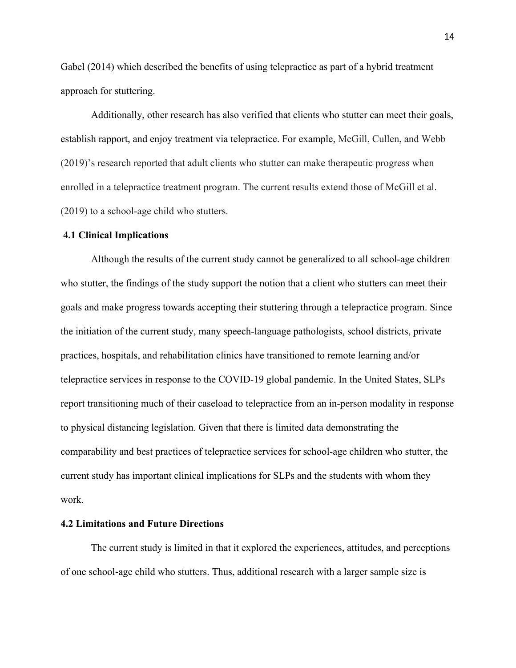Gabel (2014) which described the benefits of using telepractice as part of a hybrid treatment approach for stuttering.

Additionally, other research has also verified that clients who stutter can meet their goals, establish rapport, and enjoy treatment via telepractice. For example, McGill, Cullen, and Webb (2019)'s research reported that adult clients who stutter can make therapeutic progress when enrolled in a telepractice treatment program. The current results extend those of McGill et al. (2019) to a school-age child who stutters.

#### **4.1 Clinical Implications**

Although the results of the current study cannot be generalized to all school-age children who stutter, the findings of the study support the notion that a client who stutters can meet their goals and make progress towards accepting their stuttering through a telepractice program. Since the initiation of the current study, many speech-language pathologists, school districts, private practices, hospitals, and rehabilitation clinics have transitioned to remote learning and/or telepractice services in response to the COVID-19 global pandemic. In the United States, SLPs report transitioning much of their caseload to telepractice from an in-person modality in response to physical distancing legislation. Given that there is limited data demonstrating the comparability and best practices of telepractice services for school-age children who stutter, the current study has important clinical implications for SLPs and the students with whom they work.

#### **4.2 Limitations and Future Directions**

The current study is limited in that it explored the experiences, attitudes, and perceptions of one school-age child who stutters. Thus, additional research with a larger sample size is

14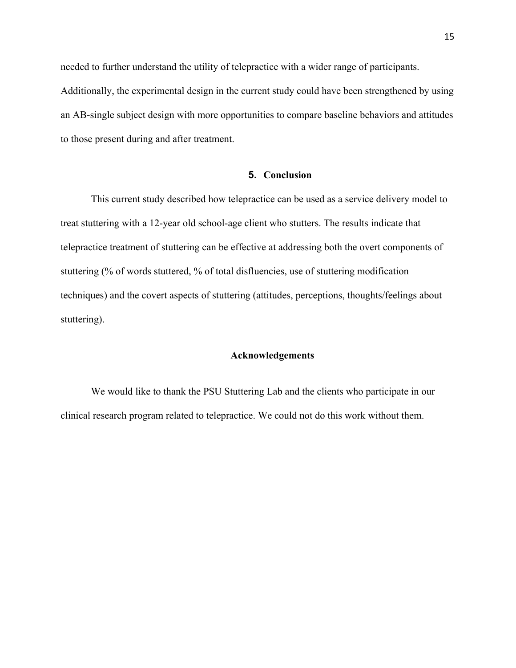needed to further understand the utility of telepractice with a wider range of participants. Additionally, the experimental design in the current study could have been strengthened by using an AB-single subject design with more opportunities to compare baseline behaviors and attitudes to those present during and after treatment.

#### **5. Conclusion**

This current study described how telepractice can be used as a service delivery model to treat stuttering with a 12-year old school-age client who stutters. The results indicate that telepractice treatment of stuttering can be effective at addressing both the overt components of stuttering (% of words stuttered, % of total disfluencies, use of stuttering modification techniques) and the covert aspects of stuttering (attitudes, perceptions, thoughts/feelings about stuttering).

#### **Acknowledgements**

We would like to thank the PSU Stuttering Lab and the clients who participate in our clinical research program related to telepractice. We could not do this work without them.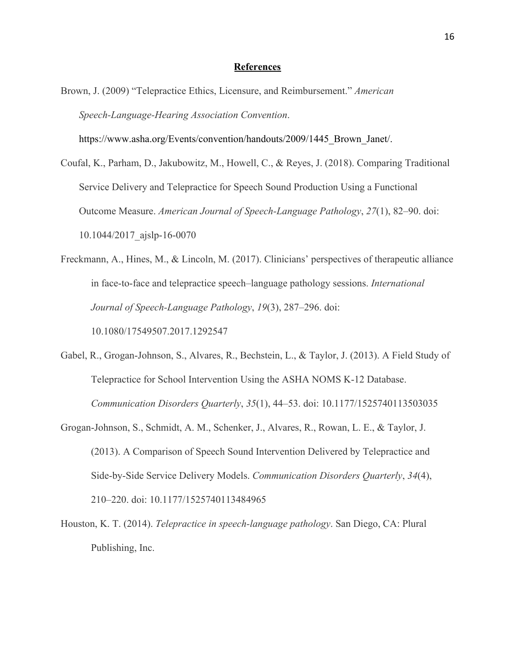#### **References**

Brown, J. (2009) "Telepractice Ethics, Licensure, and Reimbursement." *American Speech-Language-Hearing Association Convention*.

[https://www.asha.org/Events/convention/handouts/2009/1445\\_Brown\\_Janet/](https://www.asha.org/Events/convention/handouts/2009/1445_Brown_Janet/).

Coufal, K., Parham, D., Jakubowitz, M., Howell, C., & Reyes, J. (2018). Comparing Traditional Service Delivery and Telepractice for Speech Sound Production Using a Functional Outcome Measure. *American Journal of Speech-Language Pathology*, *27*(1), 82–90. doi: 10.1044/2017\_ajslp-16-0070

Freckmann, A., Hines, M., & Lincoln, M. (2017). Clinicians' perspectives of therapeutic alliance in face-to-face and telepractice speech–language pathology sessions. *International Journal of Speech-Language Pathology*, *19*(3), 287–296. doi: 10.1080/17549507.2017.1292547

- Gabel, R., Grogan-Johnson, S., Alvares, R., Bechstein, L., & Taylor, J. (2013). A Field Study of Telepractice for School Intervention Using the ASHA NOMS K-12 Database. *Communication Disorders Quarterly*, *35*(1), 44–53. doi: 10.1177/1525740113503035
- Grogan-Johnson, S., Schmidt, A. M., Schenker, J., Alvares, R., Rowan, L. E., & Taylor, J. (2013). A Comparison of Speech Sound Intervention Delivered by Telepractice and Side-by-Side Service Delivery Models. *Communication Disorders Quarterly*, *34*(4), 210–220. doi: 10.1177/1525740113484965
- Houston, K. T. (2014). *Telepractice in speech-language pathology*. San Diego, CA: Plural Publishing, Inc.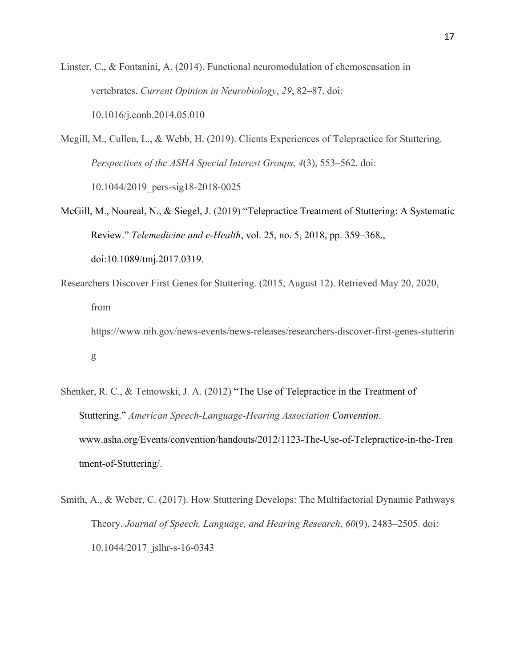Linster, C., & Fontanini, A. (2014). Functional neuromodulation of chemosensation in vertebrates. *Current Opinion in Neurobiology*, *29*, 82–87. doi: 10.1016/j.conb.2014.05.010

Mcgill, M., Cullen, L., & Webb, H. (2019). Clients Experiences of Telepractice for Stuttering. *Perspectives of the ASHA Special Interest Groups*, *4*(3), 553–562. doi: 10.1044/2019\_pers-sig18-2018-0025

- McGill, M., Noureal, N., & Siegel, J. (2019) "Telepractice Treatment of Stuttering: A Systematic Review." *Telemedicine and e-Health*, vol. 25, no. 5, 2018, pp. 359–368., doi:10.1089/tmj.2017.0319.
- Researchers Discover First Genes for Stuttering. (2015, August 12). Retrieved May 20, 2020, from https://www.nih.gov/news-events/news-releases/researchers-discover-first-genes-stutterin g
- Shenker, R. C., & Tetnowski, J. A. (2012) "The Use of Telepractice in the Treatment of Stuttering." *American Speech-Language-Hearing Association Convention*. [www.asha.org/Events/convention/handouts/2012/1123-The-Use-of-Telepractice-in-the-Trea](http://www.asha.org/Events/convention/handouts/2012/1123-The-Use-of-Telepractice-in-the-Treatment-of-Stuttering/) [tment-of-Stuttering/.](http://www.asha.org/Events/convention/handouts/2012/1123-The-Use-of-Telepractice-in-the-Treatment-of-Stuttering/)
- Smith, A., & Weber, C. (2017). How Stuttering Develops: The Multifactorial Dynamic Pathways Theory. *Journal of Speech, Language, and Hearing Research*, *60*(9), 2483–2505. doi: 10.1044/2017\_jslhr-s-16-0343